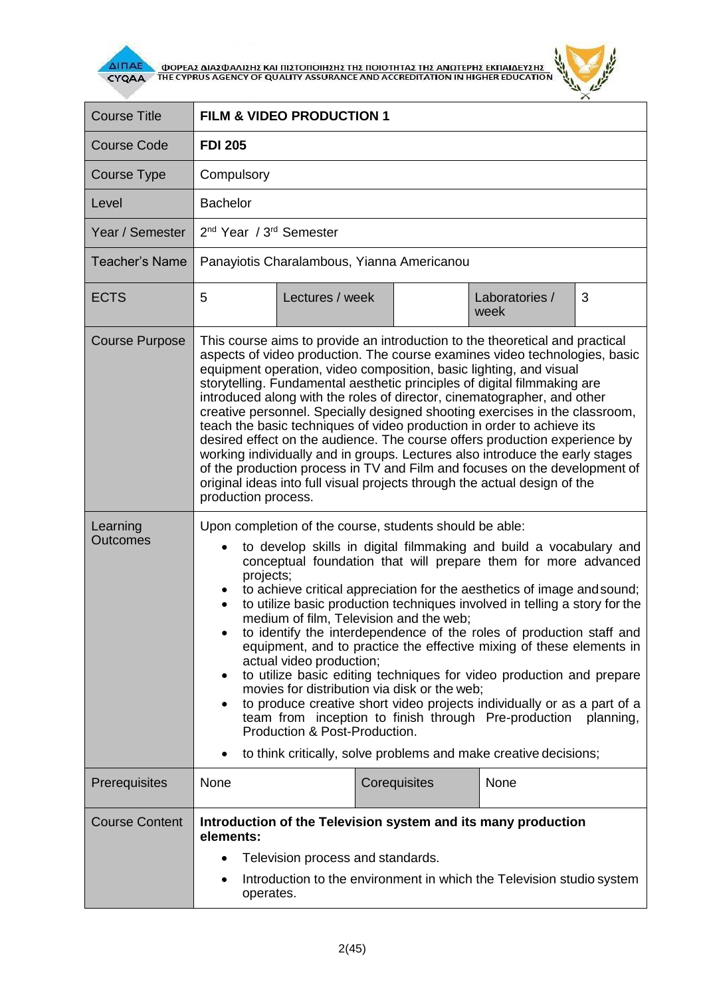

**AITIAE A OOPEAS AIAS DANISHS KAI TIISTOTOIHSHS THS TOIOTHTAS THE ANOTEPHS EKTIAIAEYSHS** 



| <b>Course Title</b>   | <b>FILM &amp; VIDEO PRODUCTION 1</b>                                                                                                                                                                                                                                                                                                                                                                                                                                                                                                                                                                                                                                                                                                                                                                                                                                                                                                                                   |              |                        |   |
|-----------------------|------------------------------------------------------------------------------------------------------------------------------------------------------------------------------------------------------------------------------------------------------------------------------------------------------------------------------------------------------------------------------------------------------------------------------------------------------------------------------------------------------------------------------------------------------------------------------------------------------------------------------------------------------------------------------------------------------------------------------------------------------------------------------------------------------------------------------------------------------------------------------------------------------------------------------------------------------------------------|--------------|------------------------|---|
| <b>Course Code</b>    | <b>FDI 205</b>                                                                                                                                                                                                                                                                                                                                                                                                                                                                                                                                                                                                                                                                                                                                                                                                                                                                                                                                                         |              |                        |   |
| Course Type           | Compulsory                                                                                                                                                                                                                                                                                                                                                                                                                                                                                                                                                                                                                                                                                                                                                                                                                                                                                                                                                             |              |                        |   |
| Level                 | <b>Bachelor</b>                                                                                                                                                                                                                                                                                                                                                                                                                                                                                                                                                                                                                                                                                                                                                                                                                                                                                                                                                        |              |                        |   |
| Year / Semester       | 2 <sup>nd</sup> Year / 3 <sup>rd</sup> Semester                                                                                                                                                                                                                                                                                                                                                                                                                                                                                                                                                                                                                                                                                                                                                                                                                                                                                                                        |              |                        |   |
| <b>Teacher's Name</b> | Panayiotis Charalambous, Yianna Americanou                                                                                                                                                                                                                                                                                                                                                                                                                                                                                                                                                                                                                                                                                                                                                                                                                                                                                                                             |              |                        |   |
| <b>ECTS</b>           | 5<br>Lectures / week                                                                                                                                                                                                                                                                                                                                                                                                                                                                                                                                                                                                                                                                                                                                                                                                                                                                                                                                                   |              | Laboratories /<br>week | 3 |
| <b>Course Purpose</b> | This course aims to provide an introduction to the theoretical and practical<br>aspects of video production. The course examines video technologies, basic<br>equipment operation, video composition, basic lighting, and visual<br>storytelling. Fundamental aesthetic principles of digital filmmaking are<br>introduced along with the roles of director, cinematographer, and other<br>creative personnel. Specially designed shooting exercises in the classroom,<br>teach the basic techniques of video production in order to achieve its<br>desired effect on the audience. The course offers production experience by<br>working individually and in groups. Lectures also introduce the early stages<br>of the production process in TV and Film and focuses on the development of<br>original ideas into full visual projects through the actual design of the<br>production process.                                                                       |              |                        |   |
| Learning<br>Outcomes  | Upon completion of the course, students should be able:<br>to develop skills in digital filmmaking and build a vocabulary and<br>conceptual foundation that will prepare them for more advanced<br>projects;<br>to achieve critical appreciation for the aesthetics of image and sound;<br>to utilize basic production techniques involved in telling a story for the<br>medium of film, Television and the web;<br>to identify the interdependence of the roles of production staff and<br>equipment, and to practice the effective mixing of these elements in<br>actual video production;<br>to utilize basic editing techniques for video production and prepare<br>movies for distribution via disk or the web;<br>to produce creative short video projects individually or as a part of a<br>team from inception to finish through Pre-production planning,<br>Production & Post-Production.<br>to think critically, solve problems and make creative decisions; |              |                        |   |
| Prerequisites         | None                                                                                                                                                                                                                                                                                                                                                                                                                                                                                                                                                                                                                                                                                                                                                                                                                                                                                                                                                                   | Corequisites | None                   |   |
| <b>Course Content</b> | Introduction of the Television system and its many production<br>elements:<br>Television process and standards.<br>Introduction to the environment in which the Television studio system<br>operates.                                                                                                                                                                                                                                                                                                                                                                                                                                                                                                                                                                                                                                                                                                                                                                  |              |                        |   |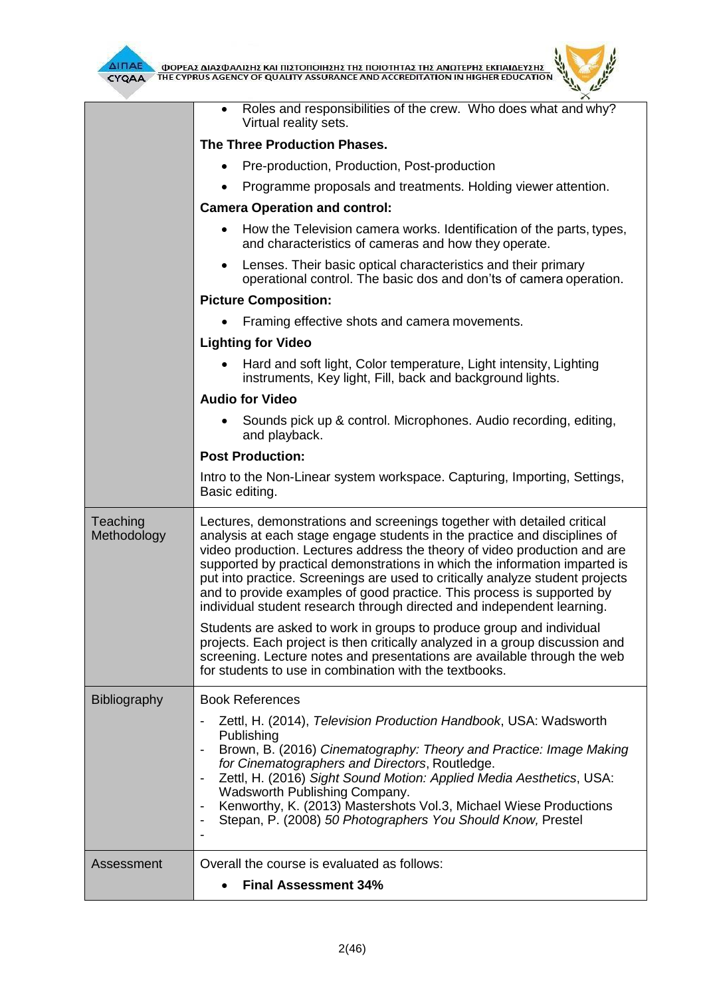

 $\mu$ 

|                         | Roles and responsibilities of the crew. Who does what and why?<br>Virtual reality sets.                                                                                                                                                                                                                                                                                                                                                                                                                                                              |  |  |  |
|-------------------------|------------------------------------------------------------------------------------------------------------------------------------------------------------------------------------------------------------------------------------------------------------------------------------------------------------------------------------------------------------------------------------------------------------------------------------------------------------------------------------------------------------------------------------------------------|--|--|--|
|                         | <b>The Three Production Phases.</b>                                                                                                                                                                                                                                                                                                                                                                                                                                                                                                                  |  |  |  |
|                         | Pre-production, Production, Post-production                                                                                                                                                                                                                                                                                                                                                                                                                                                                                                          |  |  |  |
|                         | Programme proposals and treatments. Holding viewer attention.                                                                                                                                                                                                                                                                                                                                                                                                                                                                                        |  |  |  |
|                         | <b>Camera Operation and control:</b>                                                                                                                                                                                                                                                                                                                                                                                                                                                                                                                 |  |  |  |
|                         | How the Television camera works. Identification of the parts, types,<br>$\bullet$<br>and characteristics of cameras and how they operate.                                                                                                                                                                                                                                                                                                                                                                                                            |  |  |  |
|                         | Lenses. Their basic optical characteristics and their primary<br>$\bullet$<br>operational control. The basic dos and don'ts of camera operation.                                                                                                                                                                                                                                                                                                                                                                                                     |  |  |  |
|                         | <b>Picture Composition:</b>                                                                                                                                                                                                                                                                                                                                                                                                                                                                                                                          |  |  |  |
|                         | Framing effective shots and camera movements.                                                                                                                                                                                                                                                                                                                                                                                                                                                                                                        |  |  |  |
|                         | <b>Lighting for Video</b>                                                                                                                                                                                                                                                                                                                                                                                                                                                                                                                            |  |  |  |
|                         | Hard and soft light, Color temperature, Light intensity, Lighting<br>instruments, Key light, Fill, back and background lights.                                                                                                                                                                                                                                                                                                                                                                                                                       |  |  |  |
|                         | <b>Audio for Video</b>                                                                                                                                                                                                                                                                                                                                                                                                                                                                                                                               |  |  |  |
|                         | Sounds pick up & control. Microphones. Audio recording, editing,<br>and playback.                                                                                                                                                                                                                                                                                                                                                                                                                                                                    |  |  |  |
|                         | <b>Post Production:</b>                                                                                                                                                                                                                                                                                                                                                                                                                                                                                                                              |  |  |  |
|                         | Intro to the Non-Linear system workspace. Capturing, Importing, Settings,<br>Basic editing.                                                                                                                                                                                                                                                                                                                                                                                                                                                          |  |  |  |
| Teaching<br>Methodology | Lectures, demonstrations and screenings together with detailed critical<br>analysis at each stage engage students in the practice and disciplines of<br>video production. Lectures address the theory of video production and are<br>supported by practical demonstrations in which the information imparted is<br>put into practice. Screenings are used to critically analyze student projects<br>and to provide examples of good practice. This process is supported by<br>individual student research through directed and independent learning. |  |  |  |
|                         | Students are asked to work in groups to produce group and individual<br>projects. Each project is then critically analyzed in a group discussion and<br>screening. Lecture notes and presentations are available through the web<br>for students to use in combination with the textbooks.                                                                                                                                                                                                                                                           |  |  |  |
| <b>Bibliography</b>     | <b>Book References</b>                                                                                                                                                                                                                                                                                                                                                                                                                                                                                                                               |  |  |  |
|                         | Zettl, H. (2014), Television Production Handbook, USA: Wadsworth<br>Publishing<br>Brown, B. (2016) Cinematography: Theory and Practice: Image Making<br>for Cinematographers and Directors, Routledge.<br>Zettl, H. (2016) Sight Sound Motion: Applied Media Aesthetics, USA:<br>Wadsworth Publishing Company.<br>Kenworthy, K. (2013) Mastershots Vol.3, Michael Wiese Productions<br>$\overline{\phantom{a}}$<br>Stepan, P. (2008) 50 Photographers You Should Know, Prestel<br>$\overline{\phantom{a}}$                                           |  |  |  |
|                         |                                                                                                                                                                                                                                                                                                                                                                                                                                                                                                                                                      |  |  |  |
| Assessment              | Overall the course is evaluated as follows:                                                                                                                                                                                                                                                                                                                                                                                                                                                                                                          |  |  |  |
|                         | <b>Final Assessment 34%</b>                                                                                                                                                                                                                                                                                                                                                                                                                                                                                                                          |  |  |  |